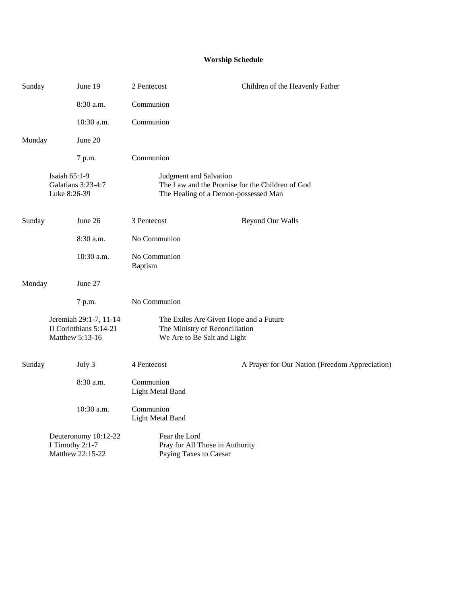## **Worship Schedule**

| Sunday | June 19                                                             | 2 Pentecost                             | Children of the Heavenly Father                                                         |
|--------|---------------------------------------------------------------------|-----------------------------------------|-----------------------------------------------------------------------------------------|
|        | 8:30 a.m.                                                           | Communion                               |                                                                                         |
|        | 10:30 a.m.                                                          | Communion                               |                                                                                         |
| Monday | June 20                                                             |                                         |                                                                                         |
|        | 7 p.m.                                                              | Communion                               |                                                                                         |
|        | Isaiah 65:1-9<br>Galatians 3:23-4:7<br>Luke 8:26-39                 | Judgment and Salvation                  | The Law and the Promise for the Children of God<br>The Healing of a Demon-possessed Man |
| Sunday | June 26                                                             | 3 Pentecost                             | <b>Beyond Our Walls</b>                                                                 |
|        | 8:30 a.m.                                                           | No Communion                            |                                                                                         |
|        | 10:30 a.m.                                                          | No Communion<br>Baptism                 |                                                                                         |
| Monday | June 27                                                             |                                         |                                                                                         |
|        | 7 p.m.                                                              | No Communion                            |                                                                                         |
|        | Jeremiah 29:1-7, 11-14<br>II Corinthians 5:14-21<br>Matthew 5:13-16 | We Are to Be Salt and Light             | The Exiles Are Given Hope and a Future<br>The Ministry of Reconciliation                |
| Sunday | July 3                                                              | 4 Pentecost                             | A Prayer for Our Nation (Freedom Appreciation)                                          |
|        | $8:30$ a.m.                                                         | Communion<br>Light Metal Band           |                                                                                         |
|        | 10:30 a.m.                                                          | Communion<br>Light Metal Band           |                                                                                         |
|        | Deuteronomy 10:12-22<br>I Timothy 2:1-7<br>Matthew 22:15-22         | Fear the Lord<br>Paying Taxes to Caesar | Pray for All Those in Authority                                                         |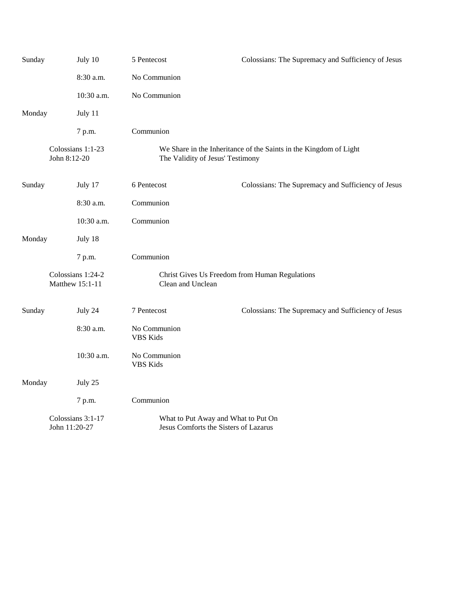| Sunday                               |               | July 10           | 5 Pentecost                                                                                           | Colossians: The Supremacy and Sufficiency of Jesus |  |
|--------------------------------------|---------------|-------------------|-------------------------------------------------------------------------------------------------------|----------------------------------------------------|--|
|                                      |               | 8:30 a.m.         | No Communion                                                                                          |                                                    |  |
|                                      |               | 10:30 a.m.        | No Communion                                                                                          |                                                    |  |
| Monday                               |               | July 11           |                                                                                                       |                                                    |  |
|                                      |               | 7 p.m.            | Communion                                                                                             |                                                    |  |
|                                      | John 8:12-20  | Colossians 1:1-23 | We Share in the Inheritance of the Saints in the Kingdom of Light<br>The Validity of Jesus' Testimony |                                                    |  |
| Sunday                               |               | July 17           | 6 Pentecost                                                                                           | Colossians: The Supremacy and Sufficiency of Jesus |  |
|                                      |               | 8:30 a.m.         | Communion                                                                                             |                                                    |  |
|                                      |               | 10:30 a.m.        | Communion                                                                                             |                                                    |  |
| Monday                               |               | July 18           |                                                                                                       |                                                    |  |
|                                      |               | 7 p.m.            | Communion                                                                                             |                                                    |  |
| Colossians 1:24-2<br>Matthew 15:1-11 |               |                   | Christ Gives Us Freedom from Human Regulations<br>Clean and Unclean                                   |                                                    |  |
| Sunday                               |               | July 24           | 7 Pentecost                                                                                           | Colossians: The Supremacy and Sufficiency of Jesus |  |
|                                      |               | 8:30 a.m.         | No Communion<br><b>VBS</b> Kids                                                                       |                                                    |  |
|                                      |               | 10:30 a.m.        | No Communion<br><b>VBS</b> Kids                                                                       |                                                    |  |
| Monday                               |               | July 25           |                                                                                                       |                                                    |  |
|                                      |               | 7 p.m.            | Communion                                                                                             |                                                    |  |
|                                      | John 11:20-27 | Colossians 3:1-17 | What to Put Away and What to Put On<br>Jesus Comforts the Sisters of Lazarus                          |                                                    |  |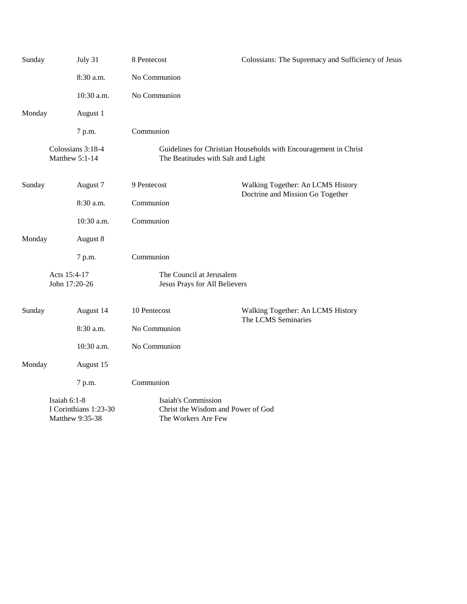| Sunday                        |                | July 31                                  | 8 Pentecost                                                                                            | Colossians: The Supremacy and Sufficiency of Jesus                    |  |
|-------------------------------|----------------|------------------------------------------|--------------------------------------------------------------------------------------------------------|-----------------------------------------------------------------------|--|
|                               |                | 8:30 a.m.                                | No Communion                                                                                           |                                                                       |  |
|                               |                | 10:30 a.m.                               | No Communion                                                                                           |                                                                       |  |
| Monday                        |                | August 1                                 |                                                                                                        |                                                                       |  |
|                               |                | 7 p.m.                                   | Communion                                                                                              |                                                                       |  |
|                               | Matthew 5:1-14 | Colossians 3:18-4                        | Guidelines for Christian Households with Encouragement in Christ<br>The Beatitudes with Salt and Light |                                                                       |  |
| Sunday                        |                | August 7                                 | 9 Pentecost                                                                                            | Walking Together: An LCMS History<br>Doctrine and Mission Go Together |  |
|                               |                | 8:30 a.m.                                | Communion                                                                                              |                                                                       |  |
|                               |                | 10:30 a.m.                               | Communion                                                                                              |                                                                       |  |
| Monday                        |                | August 8                                 |                                                                                                        |                                                                       |  |
|                               |                | 7 p.m.                                   | Communion                                                                                              |                                                                       |  |
| Acts 15:4-17<br>John 17:20-26 |                |                                          | The Council at Jerusalem<br>Jesus Prays for All Believers                                              |                                                                       |  |
| Sunday                        |                | August 14                                | 10 Pentecost                                                                                           | Walking Together: An LCMS History<br>The LCMS Seminaries              |  |
|                               |                | 8:30 a.m.                                | No Communion                                                                                           |                                                                       |  |
|                               |                | 10:30 a.m.                               | No Communion                                                                                           |                                                                       |  |
| Monday                        |                | August 15                                |                                                                                                        |                                                                       |  |
|                               |                | 7 p.m.                                   | Communion                                                                                              |                                                                       |  |
|                               | Isaiah 6:1-8   | I Corinthians 1:23-30<br>Matthew 9:35-38 | Isaiah's Commission<br>Christ the Wisdom and Power of God<br>The Workers Are Few                       |                                                                       |  |